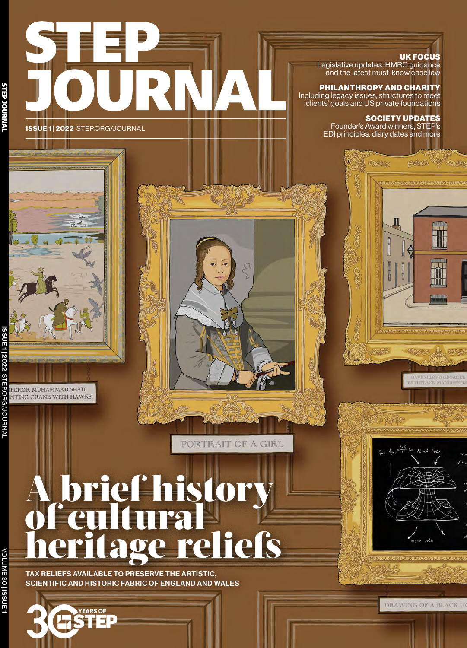

## UK FOCUS

Legislative updates, HMRC guidance and the latest must-know case law

#### PHILANTHROPY AND CHARITY Including legacy issues, structures to meet clients' goals and US private foundations

SOCIETY UPDATES

Founder's Award winners, STEP's EDI principles, diary dates and more

New



**Avanoreal's** 

VOLUME 30VOLUME 30 | ISSUE1

# A brief history of cultural age reliefs

PORTRAIT OF A GIRI

TAX RELIEFS AVAILABLE TO PRESERVE THE ARTISTIC, SCIENTIFIC AND HISTORIC FABRIC OF ENGLAND AND WALES





DRAWING OF A BLACK HO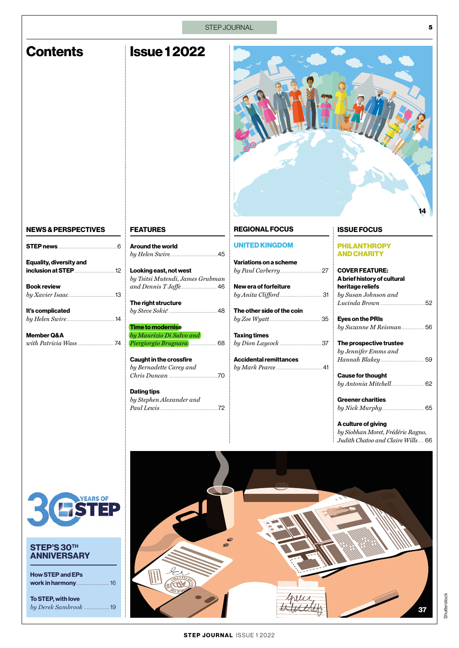| STEP JOURNAL<br>5                                                                                                                                                   |                                                                                                                                                                                                                                                                                                                                                                                                |                                                                                                                                                                                                                              |                                                                                                                                                                                                                                                                                                                                                                                                                 |
|---------------------------------------------------------------------------------------------------------------------------------------------------------------------|------------------------------------------------------------------------------------------------------------------------------------------------------------------------------------------------------------------------------------------------------------------------------------------------------------------------------------------------------------------------------------------------|------------------------------------------------------------------------------------------------------------------------------------------------------------------------------------------------------------------------------|-----------------------------------------------------------------------------------------------------------------------------------------------------------------------------------------------------------------------------------------------------------------------------------------------------------------------------------------------------------------------------------------------------------------|
| <b>Contents</b>                                                                                                                                                     | <b>Issue 12022</b>                                                                                                                                                                                                                                                                                                                                                                             |                                                                                                                                                                                                                              | 14                                                                                                                                                                                                                                                                                                                                                                                                              |
| <b>NEWS &amp; PERSPECTIVES</b>                                                                                                                                      | <b>FEATURES</b>                                                                                                                                                                                                                                                                                                                                                                                | <b>REGIONAL FOCUS</b>                                                                                                                                                                                                        | <b>ISSUE FOCUS</b>                                                                                                                                                                                                                                                                                                                                                                                              |
| <b>STEP news</b> 2008 2009<br>Equality, diversity and<br>inclusion at STEP<br><b>Book review</b><br>It's complicated<br><b>Member Q&amp;A</b><br>with Patricia Wass | <b>Around the world</b><br>Looking east, not west<br>by Tsitsi Mutendi, James Grubman<br>$and$ $Dennis$ $TJaffe$ $\ldots \ldots \ldots \ldots \ldots \ldots \ldots$ 46<br>The right structure<br>$by\,Steve\, Sokic$ 48<br><b>Time to modernise</b><br>by Maurizio Di Salvo and<br><b>Caught in the crossfire</b><br>by Bernadette Carey and<br><b>Dating tips</b><br>by Stephen Alexander and | <b>UNITED KINGDOM</b><br>Variations on a scheme<br>by Paul Carberry27<br>New era of forfeiture<br>The other side of the coin<br><b>Taxing times</b><br>by Dion Laycock 37<br><b>Accidental remittances</b><br>by Mark Pearce | <b>PHILANTHROPY</b><br><b>AND CHARITY</b><br><b>COVER FEATURE:</b><br>A brief history of cultural<br>heritage reliefs<br>by Susan Johnson and<br><b>Eyes on the PRIs</b><br>by Suzanne M Reisman 56<br>The prospective trustee<br>by Jennifer Emms and<br><b>Cause for thought</b><br><b>Greener charities</b><br>A culture of giving<br>by Siobhan Moret, Frédéric Ragno,<br>Judith Chatoo and Claire Wills 66 |
| <b>RESTEP</b><br>STEP'S 30TH<br><b>ANNIVERSARY</b><br><b>How STEP and EPs</b><br>work in harmony 16<br>To STEP, with love<br>by Derek Sambrook  19                  |                                                                                                                                                                                                                                                                                                                                                                                                |                                                                                                                                                                                                                              | 37                                                                                                                                                                                                                                                                                                                                                                                                              |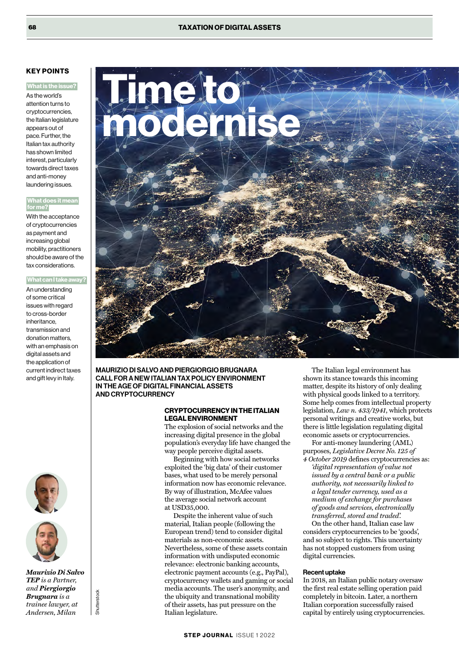### KEY POINTS

#### What is the issue?

As the world's attention turns to cryptocurrencies, the Italian legislature appears out of pace. Further, the Italian tax authority has shown limited interest, particularly towards direct taxes and anti-money laundering issues.

#### What does it mean or me?

With the acceptance of cryptocurrencies as payment and increasing global mobility, practitioners should be aware of the tax considerations.

#### **What can I take away?**

An understanding of some critical issues with regard to cross-border inheritance, transmission and donation matters, with an emphasis on digital assets and the application of current indirect taxes and gift levy in Italy.





*Maurizio Di Salvo TEP is a Partner, and Piergiorgio Brugnara is a trainee lawyer, at Andersen, Milan*

Shutterstock

**Shutterstock** 



MAURIZIO DI SALVO AND PIERGIORGIO BRUGNARA CALL FOR A NEW ITALIAN TAX POLICY ENVIRONMENT IN THE AGE OF DIGITAL FINANCIAL ASSETS ANDCRYPTOCURRENCY

#### CRYPTOCURRENCY IN THE ITALIAN LEGAL ENVIRONMENT

The explosion of social networks and the increasing digital presence in the global population's everyday life have changed the way people perceive digital assets.

Beginning with how social networks exploited the 'big data' of their customer bases, what used to be merely personal information now has economic relevance. By way of illustration, McAfee values the average social network account at USD35,000.

Despite the inherent value of such material, Italian people (following the European trend) tend to consider digital materials as non-economic assets. Nevertheless, some of these assets contain information with undisputed economic relevance: electronic banking accounts, electronic payment accounts (e.g., PayPal), cryptocurrency wallets and gaming or social media accounts. The user's anonymity, and the ubiquity and transnational mobility of their assets, has put pressure on the Italian legislature.

The Italian legal environment has shown its stance towards this incoming matter, despite its history of only dealing with physical goods linked to a territory. Some help comes from intellectual property legislation, *Law n. 433/1941*, which protects personal writings and creative works, but there is little legislation regulating digital economic assets or cryptocurrencies.

For anti-money laundering (AML) purposes, *Legislative Decree No. 125 of* 

*4 October 2019* defines cryptocurrencies as: *'digital representation of value not issued by a central bank or a public authority, not necessarily linked to a legal tender currency, used as a medium of exchange for purchases of goods and services, electronically transferred, stored and traded'.*

On the other hand, Italian case law considers cryptocurrencies to be 'goods', and so subject to rights. This uncertainty has not stopped customers from using digital currencies.

#### Recent uptake

In 2018, an Italian public notary oversaw the first real estate selling operation paid completely in bitcoin. Later, a northern Italian corporation successfully raised capital by entirely using cryptocurrencies.